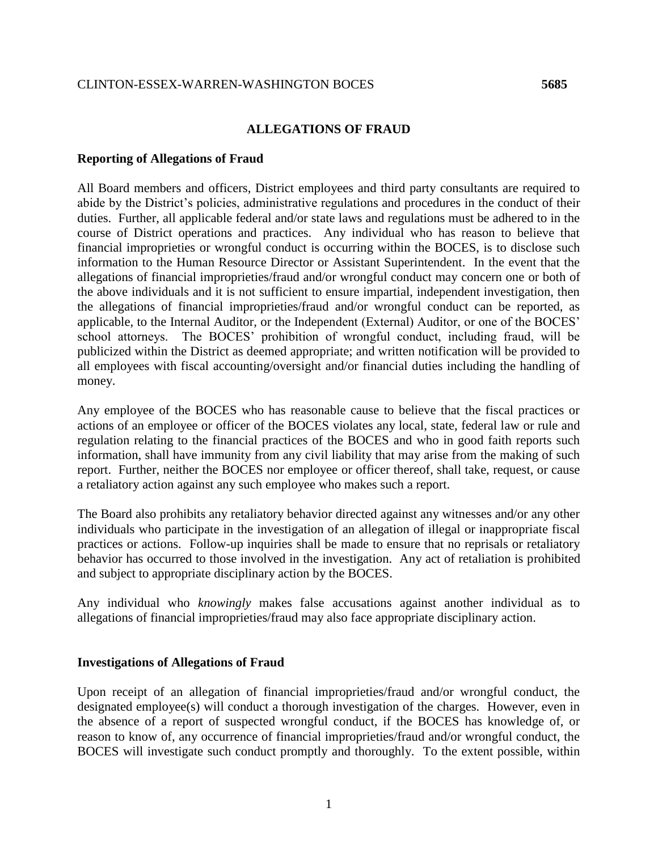## **ALLEGATIONS OF FRAUD**

## **Reporting of Allegations of Fraud**

All Board members and officers, District employees and third party consultants are required to abide by the District's policies, administrative regulations and procedures in the conduct of their duties. Further, all applicable federal and/or state laws and regulations must be adhered to in the course of District operations and practices. Any individual who has reason to believe that financial improprieties or wrongful conduct is occurring within the BOCES, is to disclose such information to the Human Resource Director or Assistant Superintendent. In the event that the allegations of financial improprieties/fraud and/or wrongful conduct may concern one or both of the above individuals and it is not sufficient to ensure impartial, independent investigation, then the allegations of financial improprieties/fraud and/or wrongful conduct can be reported, as applicable, to the Internal Auditor, or the Independent (External) Auditor, or one of the BOCES' school attorneys. The BOCES' prohibition of wrongful conduct, including fraud, will be publicized within the District as deemed appropriate; and written notification will be provided to all employees with fiscal accounting/oversight and/or financial duties including the handling of money.

Any employee of the BOCES who has reasonable cause to believe that the fiscal practices or actions of an employee or officer of the BOCES violates any local, state, federal law or rule and regulation relating to the financial practices of the BOCES and who in good faith reports such information, shall have immunity from any civil liability that may arise from the making of such report. Further, neither the BOCES nor employee or officer thereof, shall take, request, or cause a retaliatory action against any such employee who makes such a report.

The Board also prohibits any retaliatory behavior directed against any witnesses and/or any other individuals who participate in the investigation of an allegation of illegal or inappropriate fiscal practices or actions. Follow-up inquiries shall be made to ensure that no reprisals or retaliatory behavior has occurred to those involved in the investigation. Any act of retaliation is prohibited and subject to appropriate disciplinary action by the BOCES.

Any individual who *knowingly* makes false accusations against another individual as to allegations of financial improprieties/fraud may also face appropriate disciplinary action.

## **Investigations of Allegations of Fraud**

Upon receipt of an allegation of financial improprieties/fraud and/or wrongful conduct, the designated employee(s) will conduct a thorough investigation of the charges. However, even in the absence of a report of suspected wrongful conduct, if the BOCES has knowledge of, or reason to know of, any occurrence of financial improprieties/fraud and/or wrongful conduct, the BOCES will investigate such conduct promptly and thoroughly. To the extent possible, within